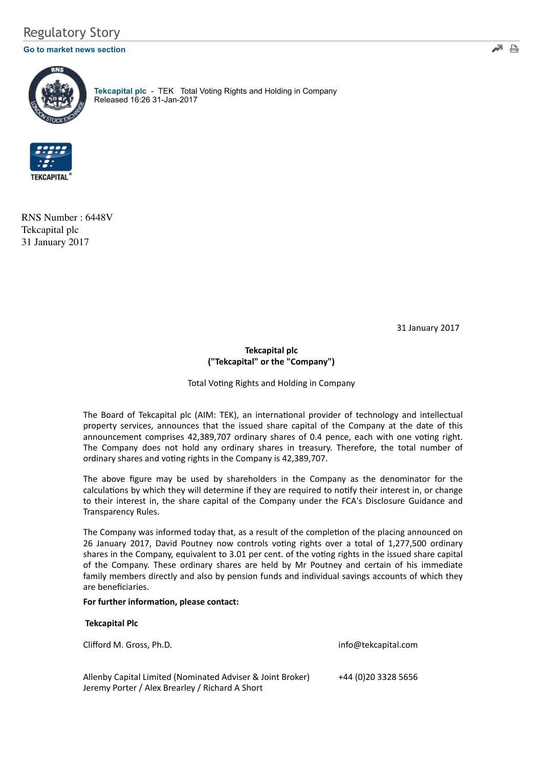# Regulatory Story

#### **[Go to market news section](javascript:%20sendto()**



**[Tekcapital plc](http://www.londonstockexchange.com/exchange/prices-and-markets/stocks/summary/company-summary-via-tidm.html?tidm=TEK)** - TEK Total Voting Rights and Holding in Company Released 16:26 31-Jan-2017



RNS Number : 6448V Tekcapital plc 31 January 2017

31 January 2017

# **Tekcapital plc ("Tekcapital" or the "Company")**

Total Voting Rights and Holding in Company

The Board of Tekcapital plc (AIM: TEK), an international provider of technology and intellectual property services, announces that the issued share capital of the Company at the date of this announcement comprises 42,389,707 ordinary shares of 0.4 pence, each with one voting right. The Company does not hold any ordinary shares in treasury. Therefore, the total number of ordinary shares and voting rights in the Company is 42,389,707.

The above figure may be used by shareholders in the Company as the denominator for the calculations by which they will determine if they are required to notify their interest in, or change to their interest in, the share capital of the Company under the FCA's Disclosure Guidance and Transparency Rules.

The Company was informed today that, as a result of the completion of the placing announced on 26 January 2017, David Poutney now controls voting rights over a total of 1,277,500 ordinary shares in the Company, equivalent to 3.01 per cent. of the voting rights in the issued share capital of the Company. These ordinary shares are held by Mr Poutney and certain of his immediate family members directly and also by pension funds and individual savings accounts of which they are beneficiaries.

### For further information, please contact:

### **Tekcapital Plc**

| Clifford M. Gross, Ph.D.                                                                                      | info@tekcapital.com  |
|---------------------------------------------------------------------------------------------------------------|----------------------|
| Allenby Capital Limited (Nominated Adviser & Joint Broker)<br>Jeremy Porter / Alex Brearley / Richard A Short | +44 (0) 20 3328 5656 |